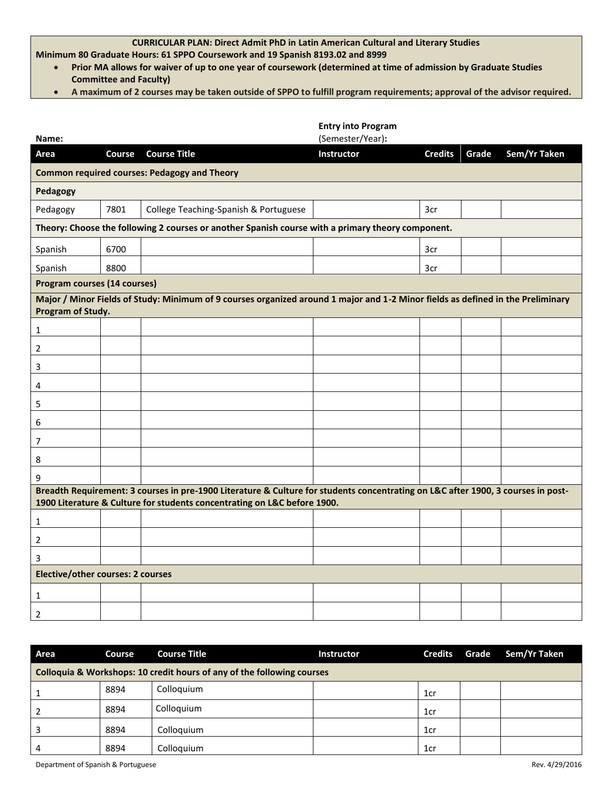## **CURRICULAR PLAN: Direct Admit PhD in Latin American Cultural and Literary Studies**

**Minimum 80 Graduate Hours: 61 SPPO Coursework and 19 Spanish 8193.02 and 8999**

- **Prior MA allows for waiver of up to one year of coursework (determined at time of admission by Graduate Studies Committee and Faculty)**
- **A maximum of 2 courses may be taken outside of SPPO to fulfill program requirements; approval of the advisor required.**

| Name:                                                                                                                                                                                                        |        |                                                                                                                                 | <b>Entry into Program</b><br>(Semester/Year): |                |       |              |
|--------------------------------------------------------------------------------------------------------------------------------------------------------------------------------------------------------------|--------|---------------------------------------------------------------------------------------------------------------------------------|-----------------------------------------------|----------------|-------|--------------|
| Area                                                                                                                                                                                                         | Course | <b>Course Title</b>                                                                                                             | Instructor                                    | <b>Credits</b> | Grade | Sem/Yr Taken |
| <b>Common required courses: Pedagogy and Theory</b>                                                                                                                                                          |        |                                                                                                                                 |                                               |                |       |              |
| Pedagogy                                                                                                                                                                                                     |        |                                                                                                                                 |                                               |                |       |              |
| Pedagogy                                                                                                                                                                                                     | 7801   | College Teaching-Spanish & Portuguese                                                                                           |                                               | 3cr            |       |              |
| Theory: Choose the following 2 courses or another Spanish course with a primary theory component.                                                                                                            |        |                                                                                                                                 |                                               |                |       |              |
| Spanish                                                                                                                                                                                                      | 6700   |                                                                                                                                 |                                               | 3cr            |       |              |
| Spanish                                                                                                                                                                                                      | 8800   |                                                                                                                                 |                                               | 3cr            |       |              |
| <b>Program courses (14 courses)</b>                                                                                                                                                                          |        |                                                                                                                                 |                                               |                |       |              |
| Program of Study.                                                                                                                                                                                            |        | Major / Minor Fields of Study: Minimum of 9 courses organized around 1 major and 1-2 Minor fields as defined in the Preliminary |                                               |                |       |              |
| $\mathbf{1}$                                                                                                                                                                                                 |        |                                                                                                                                 |                                               |                |       |              |
| 2                                                                                                                                                                                                            |        |                                                                                                                                 |                                               |                |       |              |
| 3                                                                                                                                                                                                            |        |                                                                                                                                 |                                               |                |       |              |
| 4                                                                                                                                                                                                            |        |                                                                                                                                 |                                               |                |       |              |
| 5                                                                                                                                                                                                            |        |                                                                                                                                 |                                               |                |       |              |
| 6                                                                                                                                                                                                            |        |                                                                                                                                 |                                               |                |       |              |
| 7                                                                                                                                                                                                            |        |                                                                                                                                 |                                               |                |       |              |
| 8                                                                                                                                                                                                            |        |                                                                                                                                 |                                               |                |       |              |
| 9                                                                                                                                                                                                            |        |                                                                                                                                 |                                               |                |       |              |
| Breadth Requirement: 3 courses in pre-1900 Literature & Culture for students concentrating on L&C after 1900, 3 courses in post-<br>1900 Literature & Culture for students concentrating on L&C before 1900. |        |                                                                                                                                 |                                               |                |       |              |
| $\mathbf{1}$                                                                                                                                                                                                 |        |                                                                                                                                 |                                               |                |       |              |
| 2                                                                                                                                                                                                            |        |                                                                                                                                 |                                               |                |       |              |
| 3                                                                                                                                                                                                            |        |                                                                                                                                 |                                               |                |       |              |
| <b>Elective/other courses: 2 courses</b>                                                                                                                                                                     |        |                                                                                                                                 |                                               |                |       |              |
| 1                                                                                                                                                                                                            |        |                                                                                                                                 |                                               |                |       |              |
| $\overline{2}$                                                                                                                                                                                               |        |                                                                                                                                 |                                               |                |       |              |

| Area                                                                   | Course | <b>Course Title</b> | <b>Instructor</b> | Credits | Grade | Sem/Yr Taken |
|------------------------------------------------------------------------|--------|---------------------|-------------------|---------|-------|--------------|
| Colloquia & Workshops: 10 credit hours of any of the following courses |        |                     |                   |         |       |              |
|                                                                        | 8894   | Colloquium          |                   | 1cr     |       |              |
|                                                                        | 8894   | Colloquium          |                   | 1cr     |       |              |
|                                                                        | 8894   | Colloquium          |                   | 1cr     |       |              |
| 4                                                                      | 8894   | Colloquium          |                   | 1cr     |       |              |

Department of Spanish & Portuguese Rev. 4/29/2016